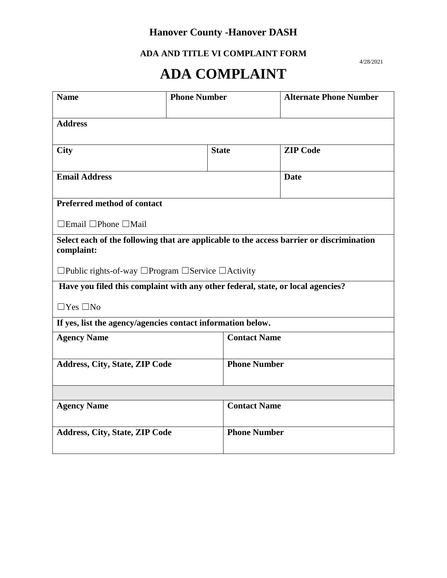**ADA AND TITLE VI COMPLAINT FORM**  4/28/2021

# **ADA COMPLAINT**

| <b>Name</b>                                                                                            | <b>Phone Number</b> |                     | <b>Alternate Phone Number</b> |  |  |
|--------------------------------------------------------------------------------------------------------|---------------------|---------------------|-------------------------------|--|--|
| <b>Address</b>                                                                                         |                     |                     |                               |  |  |
| <b>City</b>                                                                                            | <b>State</b>        |                     | <b>ZIP Code</b>               |  |  |
| <b>Email Address</b>                                                                                   |                     |                     | <b>Date</b>                   |  |  |
| <b>Preferred method of contact</b>                                                                     |                     |                     |                               |  |  |
| $\Box$ Email $\Box$ Phone $\Box$ Mail                                                                  |                     |                     |                               |  |  |
| Select each of the following that are applicable to the access barrier or discrimination<br>complaint: |                     |                     |                               |  |  |
| $\Box$ Public rights-of-way $\Box$ Program $\Box$ Service $\Box$ Activity                              |                     |                     |                               |  |  |
| Have you filed this complaint with any other federal, state, or local agencies?                        |                     |                     |                               |  |  |
| $\Box$ Yes $\Box$ No                                                                                   |                     |                     |                               |  |  |
| If yes, list the agency/agencies contact information below.                                            |                     |                     |                               |  |  |
| <b>Agency Name</b>                                                                                     |                     | <b>Contact Name</b> |                               |  |  |
| Address, City, State, ZIP Code                                                                         |                     | <b>Phone Number</b> |                               |  |  |
|                                                                                                        |                     |                     |                               |  |  |
| <b>Agency Name</b>                                                                                     |                     | <b>Contact Name</b> |                               |  |  |
| <b>Address, City, State, ZIP Code</b>                                                                  |                     | <b>Phone Number</b> |                               |  |  |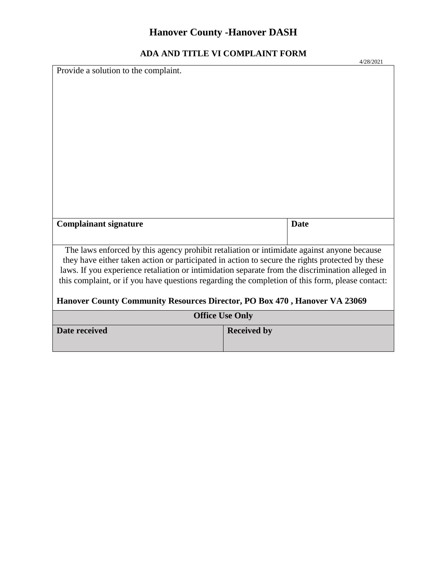|                                                                                                                                                                                               |                    | 4/28/2021   |  |  |
|-----------------------------------------------------------------------------------------------------------------------------------------------------------------------------------------------|--------------------|-------------|--|--|
| Provide a solution to the complaint.                                                                                                                                                          |                    |             |  |  |
|                                                                                                                                                                                               |                    |             |  |  |
|                                                                                                                                                                                               |                    |             |  |  |
|                                                                                                                                                                                               |                    |             |  |  |
|                                                                                                                                                                                               |                    |             |  |  |
|                                                                                                                                                                                               |                    |             |  |  |
|                                                                                                                                                                                               |                    |             |  |  |
|                                                                                                                                                                                               |                    |             |  |  |
|                                                                                                                                                                                               |                    |             |  |  |
|                                                                                                                                                                                               |                    |             |  |  |
|                                                                                                                                                                                               |                    |             |  |  |
|                                                                                                                                                                                               |                    |             |  |  |
|                                                                                                                                                                                               |                    |             |  |  |
|                                                                                                                                                                                               |                    |             |  |  |
|                                                                                                                                                                                               |                    |             |  |  |
|                                                                                                                                                                                               |                    |             |  |  |
| <b>Complainant signature</b>                                                                                                                                                                  |                    | <b>Date</b> |  |  |
|                                                                                                                                                                                               |                    |             |  |  |
|                                                                                                                                                                                               |                    |             |  |  |
| The laws enforced by this agency prohibit retaliation or intimidate against anyone because<br>they have either taken action or participated in action to secure the rights protected by these |                    |             |  |  |
| laws. If you experience retaliation or intimidation separate from the discrimination alleged in                                                                                               |                    |             |  |  |
| this complaint, or if you have questions regarding the completion of this form, please contact:                                                                                               |                    |             |  |  |
|                                                                                                                                                                                               |                    |             |  |  |
| Hanover County Community Resources Director, PO Box 470, Hanover VA 23069                                                                                                                     |                    |             |  |  |
|                                                                                                                                                                                               |                    |             |  |  |
| <b>Office Use Only</b>                                                                                                                                                                        |                    |             |  |  |
| Date received                                                                                                                                                                                 | <b>Received by</b> |             |  |  |
|                                                                                                                                                                                               |                    |             |  |  |
|                                                                                                                                                                                               |                    |             |  |  |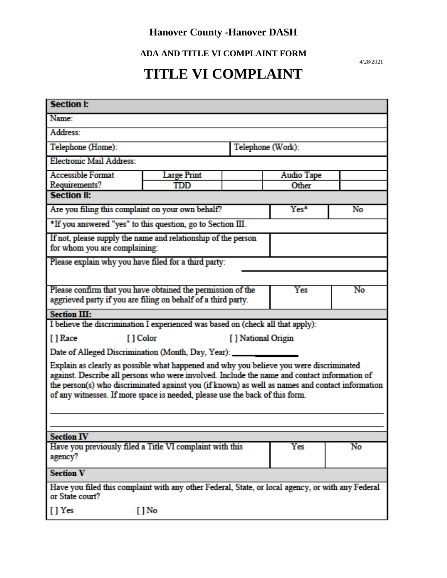**ADA AND TITLE VI COMPLAINT FORM**  4/28/2021

## **TITLE VI COMPLAINT**

| <b>Section I:</b>                                                                                                                                                                                                                                                                                                                                                          |                                  |                   |                   |    |
|----------------------------------------------------------------------------------------------------------------------------------------------------------------------------------------------------------------------------------------------------------------------------------------------------------------------------------------------------------------------------|----------------------------------|-------------------|-------------------|----|
| Name:                                                                                                                                                                                                                                                                                                                                                                      |                                  |                   |                   |    |
| Address:                                                                                                                                                                                                                                                                                                                                                                   |                                  |                   |                   |    |
| Telephone (Home):                                                                                                                                                                                                                                                                                                                                                          |                                  | Telephone (Work): |                   |    |
| <b>Electronic Mail Address:</b>                                                                                                                                                                                                                                                                                                                                            |                                  |                   |                   |    |
| <b>Accessible Format</b>                                                                                                                                                                                                                                                                                                                                                   | <b>Large Print</b>               |                   | <b>Audio Tape</b> |    |
| Requirements?                                                                                                                                                                                                                                                                                                                                                              | TDD                              |                   | Other             |    |
| <b>Section II:</b>                                                                                                                                                                                                                                                                                                                                                         |                                  |                   |                   |    |
| Are you filing this complaint on your own behalf?                                                                                                                                                                                                                                                                                                                          |                                  |                   | Yes*              | No |
| *If you answered "yes" to this question, go to Section III.                                                                                                                                                                                                                                                                                                                |                                  |                   |                   |    |
| If not, please supply the name and relationship of the person<br>for whom you are complaining:                                                                                                                                                                                                                                                                             |                                  |                   |                   |    |
| Please explain why you have filed for a third party:                                                                                                                                                                                                                                                                                                                       |                                  |                   |                   |    |
|                                                                                                                                                                                                                                                                                                                                                                            |                                  |                   |                   |    |
| Please confirm that you have obtained the permission of the                                                                                                                                                                                                                                                                                                                |                                  |                   | Yes               | No |
| aggrieved party if you are filing on behalf of a third party.                                                                                                                                                                                                                                                                                                              |                                  |                   |                   |    |
| Section III:                                                                                                                                                                                                                                                                                                                                                               |                                  |                   |                   |    |
| I believe the discrimination I experienced was based on (check all that apply):                                                                                                                                                                                                                                                                                            |                                  |                   |                   |    |
| [] Race                                                                                                                                                                                                                                                                                                                                                                    | [ ] Color<br>[ ] National Origin |                   |                   |    |
| Date of Alleged Discrimination (Month, Day, Year): __                                                                                                                                                                                                                                                                                                                      |                                  |                   |                   |    |
| Explain as clearly as possible what happened and why you believe you were discriminated<br>against. Describe all persons who were involved. Include the name and contact information of<br>the person(s) who discriminated against you (if known) as well as names and contact information<br>of any witnesses. If more space is needed, please use the back of this form. |                                  |                   |                   |    |
|                                                                                                                                                                                                                                                                                                                                                                            |                                  |                   |                   |    |
| <b>Section IV</b>                                                                                                                                                                                                                                                                                                                                                          |                                  |                   |                   |    |
| Have you previously filed a Title VI complaint with this<br>agency?                                                                                                                                                                                                                                                                                                        |                                  |                   | Yes               | No |
| <b>Section V</b>                                                                                                                                                                                                                                                                                                                                                           |                                  |                   |                   |    |
| Have you filed this complaint with any other Federal, State, or local agency, or with any Federal<br>or State court?                                                                                                                                                                                                                                                       |                                  |                   |                   |    |
| [ ] Yes<br>$[ ]$ No                                                                                                                                                                                                                                                                                                                                                        |                                  |                   |                   |    |